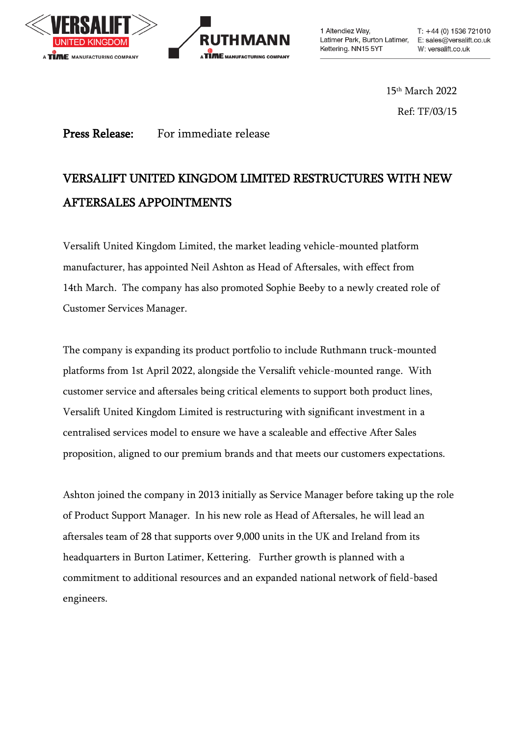



1 Altendiez Way, Latimer Park, Burton Latimer, E: sales@versalift.co.uk Kettering. NN15 5YT

 $T: +44(0)$  1536 721010 W: versalift.co.uk

15 th March 2022 Ref: TF/03/15

## Press Release: For immediate release

## VERSALIFT UNITED KINGDOM LIMITED RESTRUCTURES WITH NEW AFTERSALES APPOINTMENTS

Versalift United Kingdom Limited, the market leading vehicle-mounted platform manufacturer, has appointed Neil Ashton as Head of Aftersales, with effect from 14th March. The company has also promoted Sophie Beeby to a newly created role of Customer Services Manager.

The company is expanding its product portfolio to include Ruthmann truck-mounted platforms from 1st April 2022, alongside the Versalift vehicle-mounted range. With customer service and aftersales being critical elements to support both product lines, Versalift United Kingdom Limited is restructuring with significant investment in a centralised services model to ensure we have a scaleable and effective After Sales proposition, aligned to our premium brands and that meets our customers expectations.

Ashton joined the company in 2013 initially as Service Manager before taking up the role of Product Support Manager. In his new role as Head of Aftersales, he will lead an aftersales team of 28 that supports over 9,000 units in the UK and Ireland from its headquarters in Burton Latimer, Kettering. Further growth is planned with a commitment to additional resources and an expanded national network of field-based engineers.